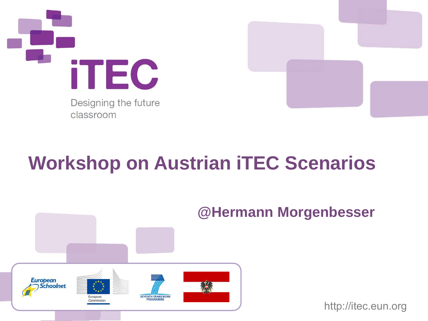

Designing the future classroom



### **Workshop on Austrian iTEC Scenarios**



#### **@Hermann Morgenbesser**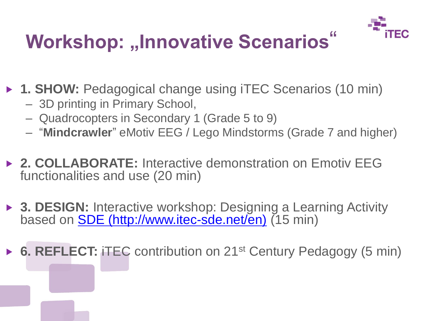

## **Workshop: "Innovative Scenarios"**

▶ 1. SHOW: Pedagogical change using iTEC Scenarios (10 min)

- 3D printing in Primary School,
- Quadrocopters in Secondary 1 (Grade 5 to 9)
- "**Mindcrawler**" eMotiv EEG / Lego Mindstorms (Grade 7 and higher)
- **2. COLLABORATE:** Interactive demonstration on Emotiv EEG functionalities and use (20 min)
- ▶ 3. DESIGN: Interactive workshop: Designing a Learning Activity based on **SDE** (http://www.itec-sde.net/en) (15 min)

▶ 6. REFLECT: **iTEC** contribution on 21<sup>st</sup> Century Pedagogy (5 min)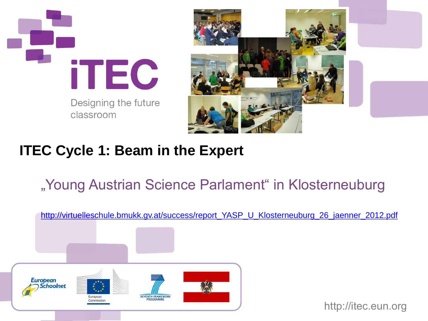

Designing the future classroom



#### **ITEC Cycle 1: Beam in the Expert**

#### "Young Austrian Science Parlament" in Klosterneuburg

[http://virtuelleschule.bmukk.gv.at/success/report\\_YASP\\_U\\_Klosterneuburg\\_26\\_jaenner\\_2012.pdf](http://virtuelleschule.bmukk.gv.at/success/report_YASP_U_Klosterneuburg_26_jaenner_2012.pdf)

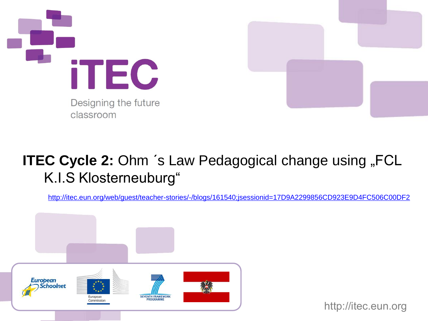



#### **ITEC Cycle 2: Ohm 's Law Pedagogical change using "FCL** K.I.S Klosterneuburg"

<http://itec.eun.org/web/guest/teacher-stories/-/blogs/161540;jsessionid=17D9A2299856CD923E9D4FC506C00DF2>

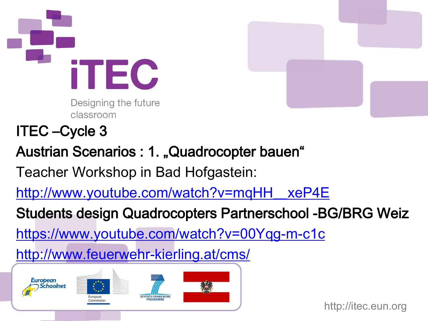



- ITEC –Cycle 3
- Austrian Scenarios : 1. "Quadrocopter bauen"
- Teacher Workshop in Bad Hofgastein:
- [http://www.youtube.com/watch?v=mqHH\\_\\_xeP4E](http://www.youtube.com/watch?v=mqHH__xeP4E)
- Students design Quadrocopters Partnerschool -BG/BRG Weiz
- <https://www.youtube.com/watch?v=00Yqg-m-c1c>
- <http://www.feuerwehr-kierling.at/cms/>







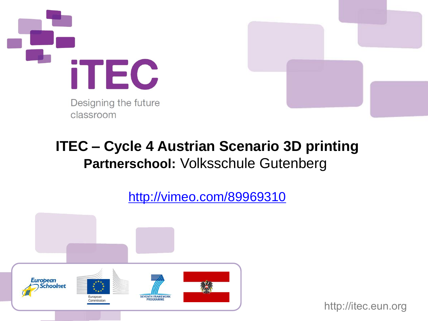



#### **ITEC – Cycle 4 Austrian Scenario 3D printing Partnerschool:** Volksschule Gutenberg

<http://vimeo.com/89969310>

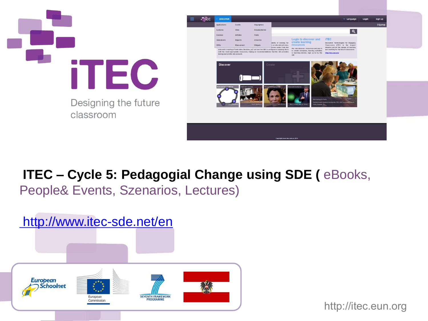



**ITEC – Cycle 5: Pedagogial Change using SDE (** eBooks, People& Events, Szenarios, Lectures)

# http://www.itec-sde.net/en

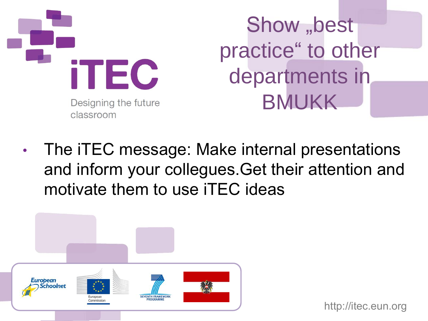

Show "best practice" to other departments in BMUKK

• The iTEC message: Make internal presentations and inform your collegues.Get their attention and motivate them to use iTEC ideas